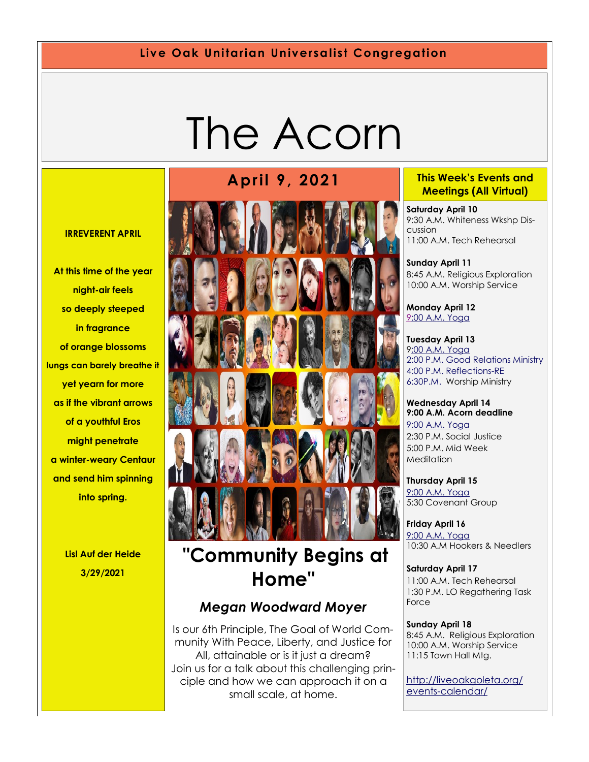#### **Live Oak Unitarian Universalist Congregation**

# The Acorn

#### **IRREVERENT APRIL**

**At this time of the year night-air feels so deeply steeped in fragrance of orange blossoms lungs can barely breathe it yet yearn for more as if the vibrant arrows of a youthful Eros might penetrate a winter-weary Centaur and send him spinning into spring.**

> **Lisl Auf der Heide 3/29/2021**



# **"Community Begins at Home"**

#### *Megan Woodward Moyer*

Is our 6th Principle, The Goal of World Community With Peace, Liberty, and Justice for All, attainable or is it just a dream? Join us for a talk about this challenging principle and how we can approach it on a small scale, at home.

#### **April 9, 2021 This Week's Events and Meetings (All Virtual)**

**Saturday April 10**  9:30 A.M. Whiteness Wkshp Discussion 11:00 A.M. Tech Rehearsal

**Sunday April 11** 8:45 A.M. Religious Exploration 10:00 A.M. Worship Service

**Monday April 12** [9:](https://us02web.zoom.us/meeting/register/tZ0pc-6qrTwqH9WUfmrB_nZu0MWqJ8CyS3Uw)[00 A.M. Yoga](https://us02web.zoom.us/j/86278199291?pwd=WUh1MFJyVXNVOTIyQ1NmanJoSmNXQT09)

**Tuesday April 13** 9[:00 A.M. Yoga](https://us02web.zoom.us/meeting/register/tZ0pc-6qrTwqH9WUfmrB_nZu0MWqJ8CyS3Uw) [2:00 P.M. Good Relations Ministry](https://us02web.zoom.us/meeting/register/tZ0pc-6qrTwqH9WUfmrB_nZu0MWqJ8CyS3Uw) [4:00 P.M. Reflections-RE](https://us02web.zoom.us/meeting/register/tZ0pc-6qrTwqH9WUfmrB_nZu0MWqJ8CyS3Uw) [6:30P.M. W](https://us02web.zoom.us/meeting/register/tZ0pc-6qrTwqH9WUfmrB_nZu0MWqJ8CyS3Uw)orship Ministry

**Wednesday April 14 9:00 A.M. Acorn deadline** [9:00 A.M. Yoga](https://us02web.zoom.us/meeting/register/tZ0pc-6qrTwqH9WUfmrB_nZu0MWqJ8CyS3Uw)  2:30 P.M. Social Justice 5:00 P.M. Mid Week **Meditation** 

**Thursday April 15** [9:00 A.M. Yoga](https://us02web.zoom.us/meeting/register/tZ0pc-6qrTwqH9WUfmrB_nZu0MWqJ8CyS3Uw)  5:30 Covenant Group

**Friday April 16** [9:00 A.M. Yoga](https://us02web.zoom.us/meeting/register/tZ0pc-6qrTwqH9WUfmrB_nZu0MWqJ8CyS3Uw)  10:30 A.M Hookers & Needlers

**Saturday April 17** 11:00 A.M. Tech Rehearsal 1:30 P.M. LO Regathering Task Force

**Sunday April 18** 8:45 A.M. Religious Exploration 10:00 A.M. Worship Service 11:15 Town Hall Mtg.

[http://liveoakgoleta.org/](http://liveoakgoleta.org/events-calendar/) [events-calendar/](http://liveoakgoleta.org/events-calendar/)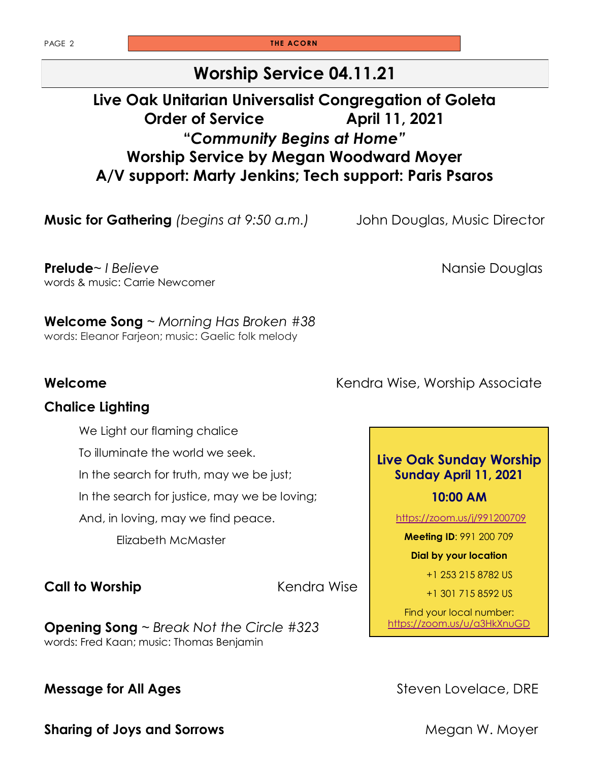PAGE 2 **THE ACORN** 

#### **Worship Service 04.11.21**

#### **Live Oak Unitarian Universalist Congregation of Goleta Order of Service April 11, 2021 "***Community Begins at Home"* **Worship Service by Megan Woodward Moyer A/V support: Marty Jenkins; Tech support: Paris Psaros**

**Music for Gathering** *(begins at 9:50 a.m.)* John Douglas, Music Director

**Prelude**~ *I Believe* Nansie Douglas words & music: Carrie Newcomer

**Welcome Song** ~ *Morning Has Broken #38* words: Eleanor Farjeon; music: Gaelic folk melody

#### **Chalice Lighting**

We Light our flaming chalice

To illuminate the world we seek.

In the search for truth, may we be just;

In the search for justice, may we be loving;

And, in loving, may we find peace.

Elizabeth McMaster

**Call to Worship Call to Worship** 

**Opening Song** ~ *Break Not the Circle #323* words: Fred Kaan; music: Thomas Benjamin

**Sharing of Joys and Sorrows** Megan W. Moyer

**Welcome Welcome Kendra Wise, Worship Associate** 

#### **Live Oak Sunday Worship Sunday April 11, 2021**

#### **10:00 AM**

<https://zoom.us/j/991200709>

**Meeting ID**: 991 200 709

**Dial by your location** 

+1 253 215 8782 US

+1 301 715 8592 US

Find your local number: <https://zoom.us/u/a3HkXnuGD>

**Message for All Ages Steven Lovelace, DRE**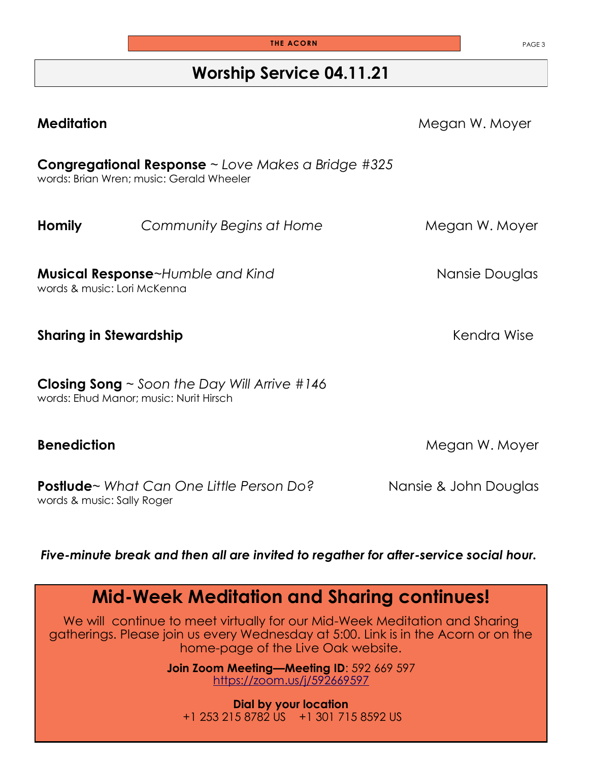#### **Worship Service 04.11.21**

| <b>Meditation</b>                                                                                  |                                                                                                            | Megan W. Moyer        |
|----------------------------------------------------------------------------------------------------|------------------------------------------------------------------------------------------------------------|-----------------------|
|                                                                                                    | <b>Congregational Response</b> $\sim$ Love Makes a Bridge #325<br>words: Brian Wren; music: Gerald Wheeler |                       |
| <b>Homily</b>                                                                                      | Community Begins at Home                                                                                   | Megan W. Moyer        |
| words & music: Lori McKenna                                                                        | <b>Musical Response-Humble and Kind</b>                                                                    | Nansie Douglas        |
| <b>Sharing in Stewardship</b>                                                                      |                                                                                                            | Kendra Wise           |
| <b>Closing Song</b> $\sim$ Soon the Day Will Arrive #146<br>words: Ehud Manor; music: Nurit Hirsch |                                                                                                            |                       |
| <b>Benediction</b>                                                                                 |                                                                                                            | Megan W. Moyer        |
| words & music: Sally Roger                                                                         | <b>Postlude</b> ~ What Can One Little Person Do?                                                           | Nansie & John Douglas |

*Five-minute break and then all are invited to regather for after-service social hour.*

# **Mid-Week Meditation and Sharing continues!**

We will continue to meet virtually for our Mid-Week Meditation and Sharing gatherings. Please join us every Wednesday at 5:00. Link is in the Acorn or on the home-page of the Live Oak website.

> **Join Zoom Meeting—Meeting ID**: 592 669 597 <https://zoom.us/j/592669597>

**Dial by your location** +1 253 215 8782 US +1 301 715 8592 US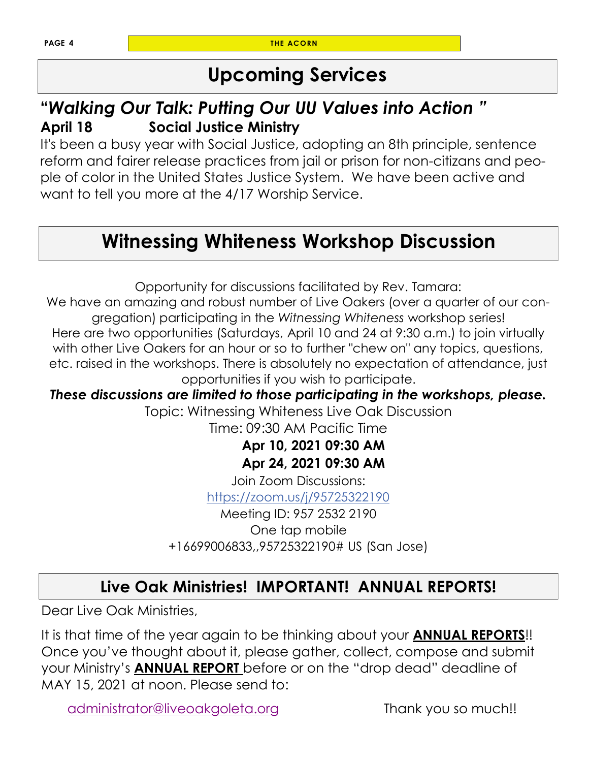**PAGE 4 THE ACORN** 

# **Upcoming Services**

#### **"***Walking Our Talk: Putting Our UU Values into Action "* **April 18 Social Justice Ministry**

It's been a busy year with Social Justice, adopting an 8th principle, sentence reform and fairer release practices from jail or prison for non-citizans and people of color in the United States Justice System. We have been active and want to tell you more at the 4/17 Worship Service.

# **Witnessing Whiteness Workshop Discussion**

Opportunity for discussions facilitated by Rev. Tamara:

We have an amazing and robust number of Live Oakers (over a quarter of our congregation) participating in the *Witnessing Whiteness* workshop series!

Here are two opportunities (Saturdays, April 10 and 24 at 9:30 a.m.) to join virtually with other Live Oakers for an hour or so to further "chew on" any topics, questions, etc. raised in the workshops. There is absolutely no expectation of attendance, just opportunities if you wish to participate.

*These discussions are limited to those participating in the workshops, please.*

Topic: Witnessing Whiteness Live Oak Discussion

Time: 09:30 AM Pacific Time

#### **Apr 10, 2021 09:30 AM Apr 24, 2021 09:30 AM**

Join Zoom Discussions: <https://zoom.us/j/95725322190>

Meeting ID: 957 2532 2190 One tap mobile +16699006833,,95725322190# US (San Jose)

### **Live Oak Ministries! IMPORTANT! ANNUAL REPORTS!**

Dear Live Oak Ministries,

It is that time of the year again to be thinking about your **ANNUAL REPORTS**!! Once you've thought about it, please gather, collect, compose and submit your Ministry's **ANNUAL REPORT** before or on the "drop dead" deadline of MAY 15, 2021 at noon. Please send to:

[administrator@liveoakgoleta.org](mailto:administrator@liveoakgoleta.org) Thank you so much!!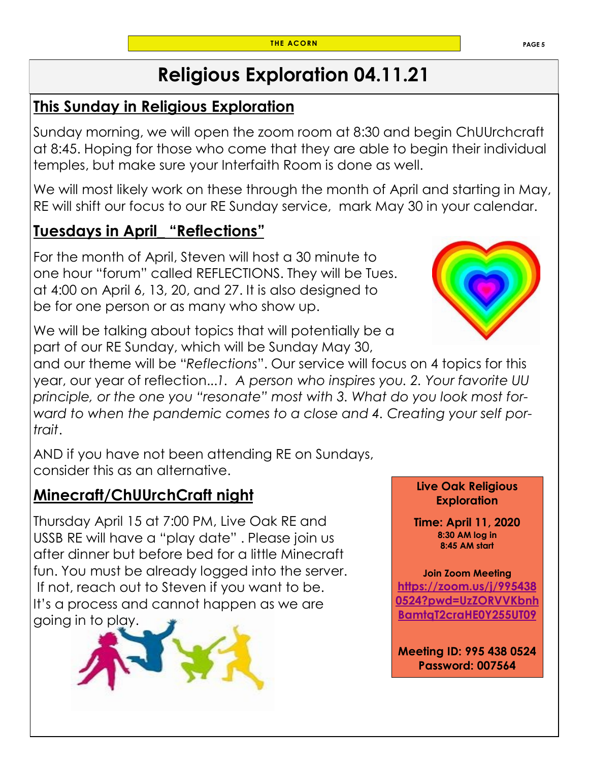# **Religious Exploration 04.11.21**

#### **This Sunday in Religious Exploration**

Sunday morning, we will open the zoom room at 8:30 and begin ChUUrchcraft at 8:45. Hoping for those who come that they are able to begin their individual temples, but make sure your Interfaith Room is done as well.

We will most likely work on these through the month of April and starting in May, RE will shift our focus to our RE Sunday service, mark May 30 in your calendar.

#### **Tuesdays in April\_ "Reflections"**

For the month of April, Steven will host a 30 minute to one hour "forum" called REFLECTIONS. They will be Tues. at 4:00 on April 6, 13, 20, and 27. It is also designed to be for one person or as many who show up.

We will be talking about topics that will potentially be a part of our RE Sunday, which will be Sunday May 30,

and our theme will be "*Reflections*". Our service will focus on 4 topics for this year, our year of reflection...*1. A person who inspires you. 2. Your favorite UU principle, or the one you "resonate" most with 3. What do you look most forward to when the pandemic comes to a close and 4. Creating your self portrait*.

AND if you have not been attending RE on Sundays, consider this as an alternative.

#### **Minecraft/ChUUrchCraft night**

Thursday April 15 at 7:00 PM, Live Oak RE and USSB RE will have a "play date" . Please join us after dinner but before bed for a little Minecraft fun. You must be already logged into the server. If not, reach out to Steven if you want to be. It's a process and cannot happen as we are going in to play.





**Live Oak Religious Exploration** 

**Time: April 11, 2020 8:30 AM log in 8:45 AM start**

**Join Zoom Meeting [https://zoom.us/j/995438](https://zoom.us/j/9954380524?pwd=UzZORVVKbnhBamtqT2craHE0Y255UT09) [0524?pwd=UzZORVVKbnh](https://zoom.us/j/9954380524?pwd=UzZORVVKbnhBamtqT2craHE0Y255UT09) [BamtqT2craHE0Y255UT09](https://zoom.us/j/9954380524?pwd=UzZORVVKbnhBamtqT2craHE0Y255UT09)**

**Meeting ID: 995 438 0524 Password: 007564**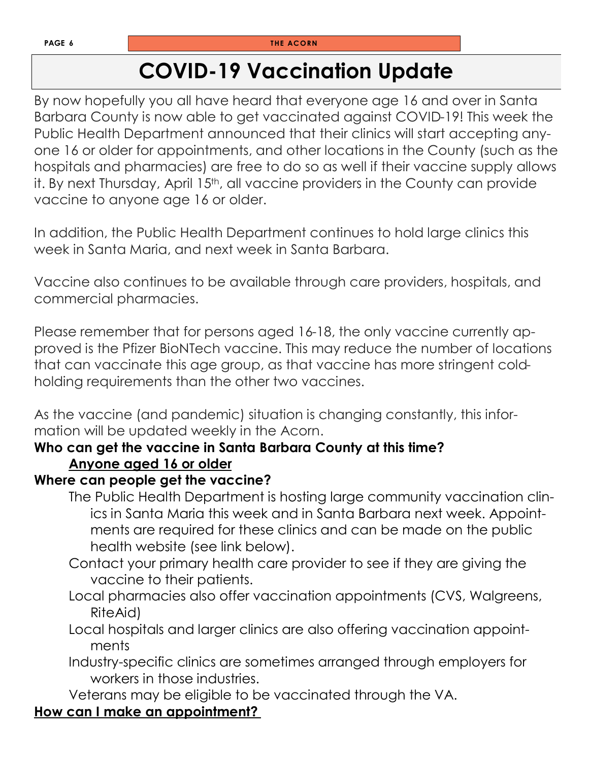# **COVID-19 Vaccination Update**

By now hopefully you all have heard that everyone age 16 and over in Santa Barbara County is now able to get vaccinated against COVID-19! This week the Public Health Department announced that their clinics will start accepting anyone 16 or older for appointments, and other locations in the County (such as the hospitals and pharmacies) are free to do so as well if their vaccine supply allows it. By next Thursday, April 15<sup>th</sup>, all vaccine providers in the County can provide vaccine to anyone age 16 or older.

In addition, the Public Health Department continues to hold large clinics this week in Santa Maria, and next week in Santa Barbara.

Vaccine also continues to be available through care providers, hospitals, and commercial pharmacies.

Please remember that for persons aged 16-18, the only vaccine currently approved is the Pfizer BioNTech vaccine. This may reduce the number of locations that can vaccinate this age group, as that vaccine has more stringent coldholding requirements than the other two vaccines.

As the vaccine (and pandemic) situation is changing constantly, this information will be updated weekly in the Acorn.

#### **Who can get the vaccine in Santa Barbara County at this time? Anyone aged 16 or older**

#### **Where can people get the vaccine?**

- The Public Health Department is hosting large community vaccination clinics in Santa Maria this week and in Santa Barbara next week. Appointments are required for these clinics and can be made on the public health website (see link below).
- Contact your primary health care provider to see if they are giving the vaccine to their patients.
- Local pharmacies also offer vaccination appointments (CVS, Walgreens, RiteAid)
- Local hospitals and larger clinics are also offering vaccination appointments
- Industry-specific clinics are sometimes arranged through employers for workers in those industries.

Veterans may be eligible to be vaccinated through the VA.

#### **How can I make an appointment?**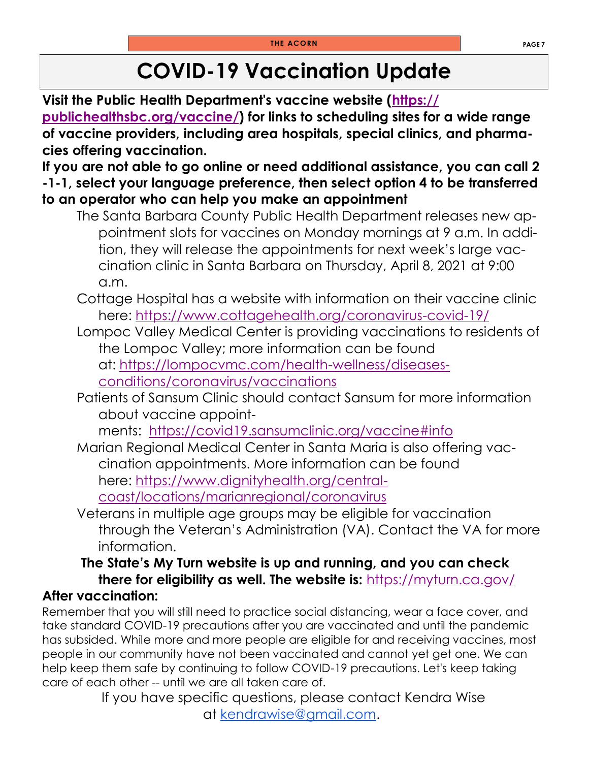# **COVID-19 Vaccination Update**

**Visit the Public Health Department's vaccine website ([https://](https://publichealthsbc.org/vaccine/) [publichealthsbc.org/vaccine/\)](https://publichealthsbc.org/vaccine/) for links to scheduling sites for a wide range of vaccine providers, including area hospitals, special clinics, and pharmacies offering vaccination.**

**If you are not able to go online or need additional assistance, you can call 2 -1-1, select your language preference, then select option 4 to be transferred to an operator who can help you make an appointment**

- The Santa Barbara County Public Health Department releases new appointment slots for vaccines on Monday mornings at 9 a.m. In addition, they will release the appointments for next week's large vaccination clinic in Santa Barbara on Thursday, April 8, 2021 at 9:00 a.m.
- Cottage Hospital has a website with information on their vaccine clinic here: <https://www.cottagehealth.org/coronavirus-covid-19/>
- Lompoc Valley Medical Center is providing vaccinations to residents of the Lompoc Valley; more information can be found at: [https://lompocvmc.com/health-wellness/diseases](https://lompocvmc.com/health-wellness/diseases-conditions/coronavirus/vaccinations)[conditions/coronavirus/vaccinations](https://lompocvmc.com/health-wellness/diseases-conditions/coronavirus/vaccinations)
- Patients of Sansum Clinic should contact Sansum for more information about vaccine appoint-

ments: <https://covid19.sansumclinic.org/vaccine#info>

- Marian Regional Medical Center in Santa Maria is also offering vaccination appointments. More information can be found here: [https://www.dignityhealth.org/central](https://www.dignityhealth.org/central-coast/locations/marianregional/coronavirus)[coast/locations/marianregional/coronavirus](https://www.dignityhealth.org/central-coast/locations/marianregional/coronavirus)
- Veterans in multiple age groups may be eligible for vaccination through the Veteran's Administration (VA). Contact the VA for more information.

#### **The State's My Turn website is up and running, and you can check there for eligibility as well. The website is:** <https://myturn.ca.gov/> **After vaccination[:](https://myturn.ca.gov/)**

Remember that you will still need to practice social distancing, wear a face cover, and take standard COVID-19 precautions after you are vaccinated and until the pandemic has subsided. While more and more people are eligible for and receiving vaccines, most people in our community have not been vaccinated and cannot yet get one. We can help keep them safe by continuing to follow COVID-19 precautions. Let's keep taking care of each other -- until we are all taken care of.

If you have specific questions, please contact Kendra Wise at [kendrawise@gmail.com.](mailto:kendrawise@gmail.com)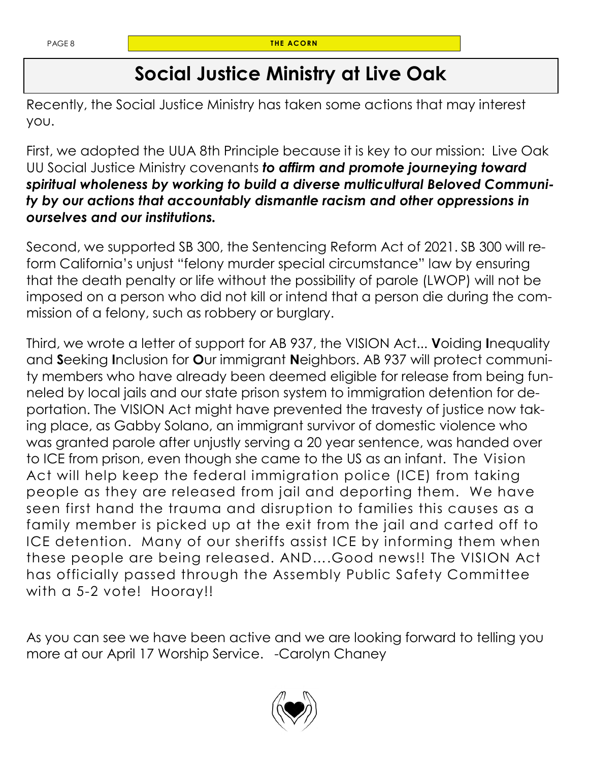# **Social Justice Ministry at Live Oak**

Recently, the Social Justice Ministry has taken some actions that may interest you.

First, we adopted the UUA 8th Principle because it is key to our mission: Live Oak UU Social Justice Ministry covenants *to affirm and promote journeying toward spiritual wholeness by working to build a diverse multicultural Beloved Community by our actions that accountably dismantle racism and other oppressions in ourselves and our institutions.*

Second, we supported SB 300, the Sentencing Reform Act of 2021. SB 300 will reform California's unjust "felony murder special circumstance" law by ensuring that the death penalty or life without the possibility of parole (LWOP) will not be imposed on a person who did not kill or intend that a person die during the commission of a felony, such as robbery or burglary.

Third, we wrote a letter of support for AB 937, the VISION Act... **V**oiding **I**nequality and **S**eeking **I**nclusion for **O**ur immigrant **N**eighbors. AB 937 will protect community members who have already been deemed eligible for release from being funneled by local jails and our state prison system to immigration detention for deportation. The VISION Act might have prevented the travesty of justice now taking place, as Gabby Solano, an immigrant survivor of domestic violence who was granted parole after unjustly serving a 20 year sentence, was handed over to ICE from prison, even though she came to the US as an infant. The Vision Act will help keep the federal immigration police (ICE) from taking people as they are released from jail and deporting them. We have seen first hand the trauma and disruption to families this causes as a family member is picked up at the exit from the jail and carted off to ICE detention. Many of our sheriffs assist ICE by informing them when these people are being released. AND….Good news!! The VISION Act has officially passed through the Assembly Public Safety Committee with a 5-2 vote! Hooray!!

As you can see we have been active and we are looking forward to telling you more at our April 17 Worship Service. -Carolyn Chaney

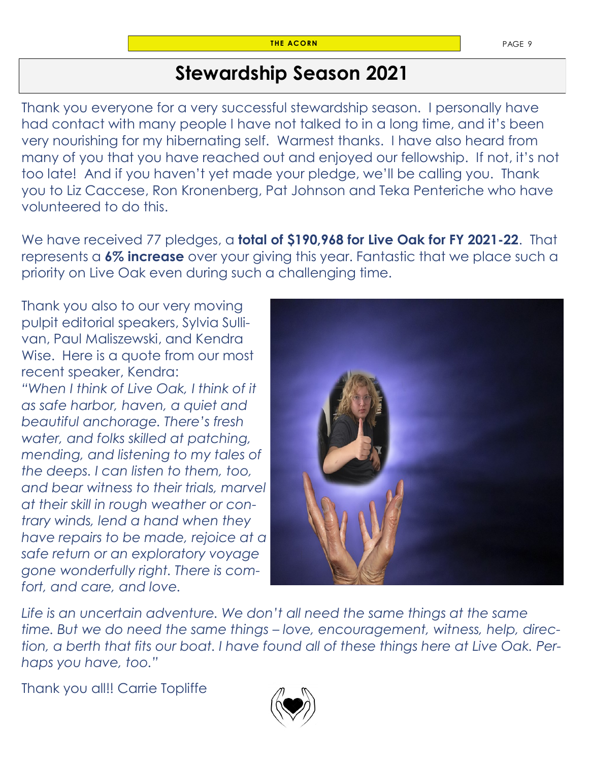# **Stewardship Season 2021**

Thank you everyone for a very successful stewardship season. I personally have had contact with many people I have not talked to in a long time, and it's been very nourishing for my hibernating self. Warmest thanks. I have also heard from many of you that you have reached out and enjoyed our fellowship. If not, it's not too late! And if you haven't yet made your pledge, we'll be calling you. Thank you to Liz Caccese, Ron Kronenberg, Pat Johnson and Teka Penteriche who have volunteered to do this.

We have received 77 pledges, a **total of \$190,968 for Live Oak for FY 2021-22**. That represents a **6% increase** over your giving this year. Fantastic that we place such a priority on Live Oak even during such a challenging time.

Thank you also to our very moving pulpit editorial speakers, Sylvia Sullivan, Paul Maliszewski, and Kendra Wise. Here is a quote from our most recent speaker, Kendra: *"When I think of Live Oak, I think of it as safe harbor, haven, a quiet and beautiful anchorage. There's fresh water, and folks skilled at patching, mending, and listening to my tales of the deeps. I can listen to them, too, and bear witness to their trials, marvel at their skill in rough weather or contrary winds, lend a hand when they have repairs to be made, rejoice at a safe return or an exploratory voyage gone wonderfully right. There is comfort, and care, and love.*



Life is an uncertain adventure. We don't all need the same things at the same *time. But we do need the same things – love, encouragement, witness, help, direction, a berth that fits our boat. I have found all of these things here at Live Oak. Perhaps you have, too."* 

Thank you all!! Carrie Topliffe

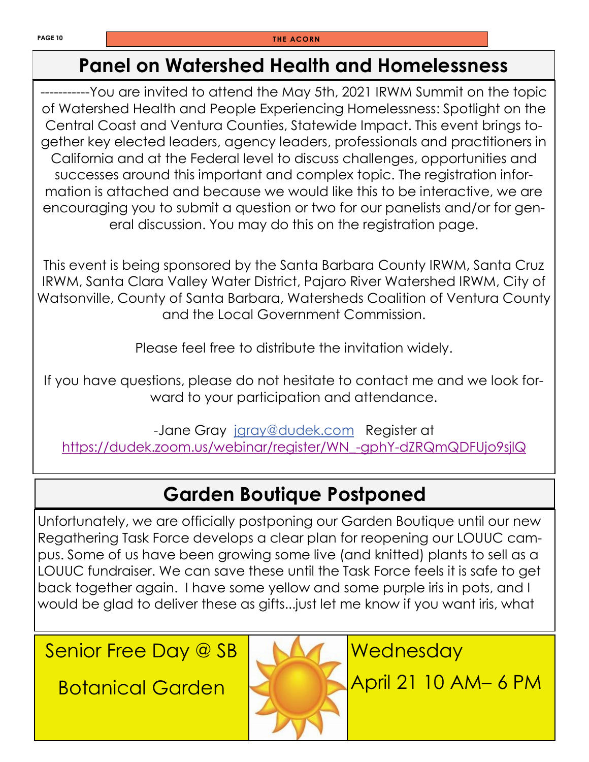# **Panel on Watershed Health and Homelessness**

-----------You are invited to attend the May 5th, 2021 IRWM Summit on the topic of Watershed Health and People Experiencing Homelessness: Spotlight on the Central Coast and Ventura Counties, Statewide Impact. This event brings together key elected leaders, agency leaders, professionals and practitioners in California and at the Federal level to discuss challenges, opportunities and successes around this important and complex topic. The registration information is attached and because we would like this to be interactive, we are encouraging you to submit a question or two for our panelists and/or for general discussion. You may do this on the registration page.

This event is being sponsored by the Santa Barbara County IRWM, Santa Cruz IRWM, Santa Clara Valley Water District, Pajaro River Watershed IRWM, City of Watsonville, County of Santa Barbara, Watersheds Coalition of Ventura County and the Local Government Commission.

Please feel free to distribute the invitation widely.

If you have questions, please do not hesitate to contact me and we look forward to your participation and attendance.

-Jane Gray [jgray@dudek.com](mailto:jgray@dudek.com) Register at [https://dudek.zoom.us/webinar/register/WN\\_-gphY-dZRQmQDFUjo9sjlQ](https://dudek.zoom.us/webinar/register/WN_-gphY-dZRQmQDFUjo9sjlQ)

# **Garden Boutique Postponed**

Unfortunately, we are officially postponing our Garden Boutique until our new Regathering Task Force develops a clear plan for reopening our LOUUC campus. Some of us have been growing some live (and knitted) plants to sell as a LOUUC fundraiser. We can save these until the Task Force feels it is safe to get back together again. I have some yellow and some purple iris in pots, and I would be glad to deliver these as gifts...just let me know if you want iris, what

Senior Free Day @ SB

Botanical Garden



**Wednesday** 

April 21 10 AM– 6 PM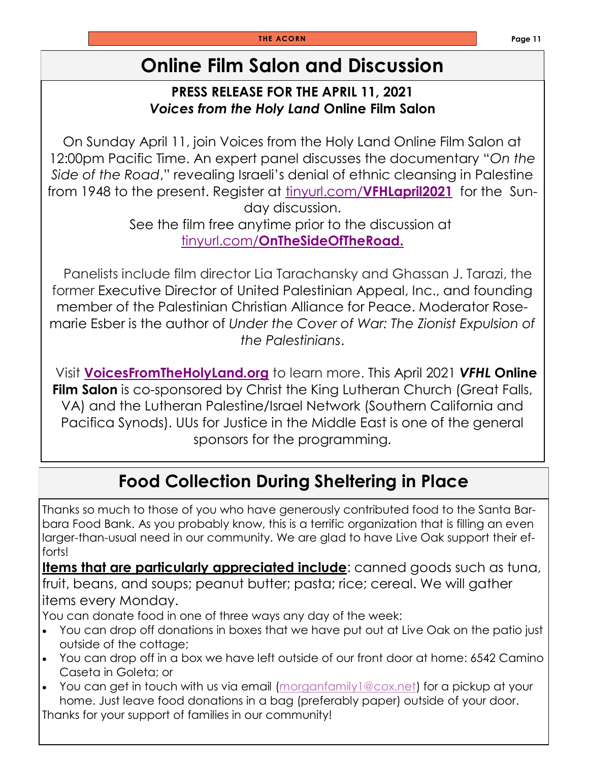# **Online Film Salon and Discussion**

#### **PRESS RELEASE FOR THE APRIL 11, 2021** *Voices from the Holy Land* **Online Film Salon**

On Sunday April 11, join Voices from the Holy Land Online Film Salon at 12:00pm Pacific Time. An expert panel discusses the documentary "*On the Side of the Road*," revealing Israeli's denial of ethnic cleansing in Palestine from 1948 to the present. Register at tinyurl.com/**[VFHLapril2021](https://tinyurl.com/VFHLapril2021)** for the Sunday discussion.

See the film free anytime prior to the discussion at tinyurl.com/**[OnTheSideOfTheRoad.](https://tinyurl.com/OnTheSideOfTheRoad)**

 Panelists include film director Lia Tarachansky and Ghassan J. Tarazi, the former Executive Director of United Palestinian Appeal, Inc., and founding member of the Palestinian Christian Alliance for Peace. Moderator Rosemarie Esber is the author of *Under the Cover of War: The Zionist Expulsion of the Palestinians*.

Visit **[VoicesFromTheHolyLand.org](http://voicesfromtheholyland.org/)** to learn more. This April 2021 *VFHL* **Online Film Salon** is co-sponsored by Christ the King Lutheran Church (Great Falls, VA) and the Lutheran Palestine/Israel Network (Southern California and Pacifica Synods). UUs for Justice in the Middle East is one of the general sponsors for the programming.

# **Food Collection During Sheltering in Place**

Thanks so much to those of you who have generously contributed food to the Santa Barbara Food Bank. As you probably know, this is a terrific organization that is filling an even larger-than-usual need in our community. We are glad to have Live Oak support their efforts!

**Items that are particularly appreciated include**: canned goods such as tuna, fruit, beans, and soups; peanut butter; pasta; rice; cereal. We will gather items every Monday.

You can donate food in one of three ways any day of the week:

- You can drop off donations in boxes that we have put out at Live Oak on the patio just outside of the cottage;
- You can drop off in a box we have left outside of our front door at home: 6542 Camino Caseta in Goleta; or
- You can get in touch with us via email (morganfamily 1@cox.net) for a pickup at your home. Just leave food donations in a bag (preferably paper) outside of your door. Thanks for your support of families in our community!